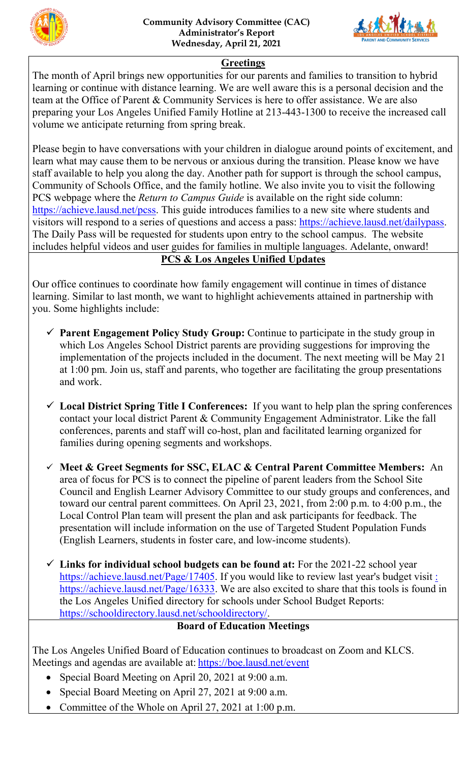



## **Greetings**

The month of April brings new opportunities for our parents and families to transition to hybrid learning or continue with distance learning. We are well aware this is a personal decision and the team at the Office of Parent & Community Services is here to offer assistance. We are also preparing your Los Angeles Unified Family Hotline at 213-443-1300 to receive the increased call volume we anticipate returning from spring break.

Please begin to have conversations with your children in dialogue around points of excitement, and learn what may cause them to be nervous or anxious during the transition. Please know we have staff available to help you along the day. Another path for support is through the school campus, Community of Schools Office, and the family hotline. We also invite you to visit the following PCS webpage where the *Return to Campus Guide* is available on the right side column: [https://achieve.lausd.net/pcss.](https://achieve.lausd.net/pcss) This guide introduces families to a new site where students and visitors will respond to a series of questions and access a pass: [https://achieve.lausd.net/dailypass.](https://achieve.lausd.net/dailypass) The Daily Pass will be requested for students upon entry to the school campus. The website includes helpful videos and user guides for families in multiple languages. Adelante, onward!

## **PCS & Los Angeles Unified Updates**

Our office continues to coordinate how family engagement will continue in times of distance learning. Similar to last month, we want to highlight achievements attained in partnership with you. Some highlights include:

- **Parent Engagement Policy Study Group:** Continue to participate in the study group in which Los Angeles School District parents are providing suggestions for improving the implementation of the projects included in the document. The next meeting will be May 21 at 1:00 pm. Join us, staff and parents, who together are facilitating the group presentations and work.
- **Local District Spring Title I Conferences:** If you want to help plan the spring conferences contact your local district Parent & Community Engagement Administrator. Like the fall conferences, parents and staff will co-host, plan and facilitated learning organized for families during opening segments and workshops.
- **Meet & Greet Segments for SSC, ELAC & Central Parent Committee Members:** An area of focus for PCS is to connect the pipeline of parent leaders from the School Site Council and English Learner Advisory Committee to our study groups and conferences, and toward our central parent committees. On April 23, 2021, from 2:00 p.m. to 4:00 p.m., the Local Control Plan team will present the plan and ask participants for feedback. The presentation will include information on the use of Targeted Student Population Funds (English Learners, students in foster care, and low-income students).
- **Links for individual school budgets can be found at:** For the 2021-22 school year [https://achieve.lausd.net/Page/17405.](https://achieve.lausd.net/Page/17405) If you would like to review last year's budget visit : [https://achieve.lausd.net/Page/16333.](https://achieve.lausd.net/Page/16333) We are also excited to share that this tools is found in the Los Angeles Unified directory for schools under School Budget Reports: [https://schooldirectory.lausd.net/schooldirectory/.](https://schooldirectory.lausd.net/schooldirectory/)

## **Board of Education Meetings**

The Los Angeles Unified Board of Education continues to broadcast on Zoom and KLCS. Meetings and agendas are available at: [https://boe.lausd.net/event](https://boe.lausd.net/)

- Special Board Meeting on April 20, 2021 at 9:00 a.m.
- Special Board Meeting on April 27, 2021 at 9:00 a.m.
- Committee of the Whole on April 27, 2021 at 1:00 p.m.